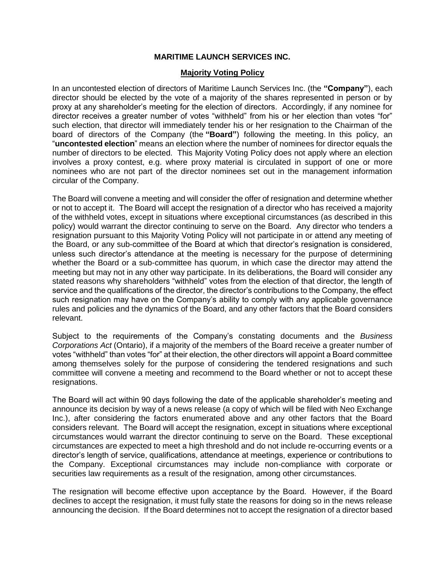## **MARITIME LAUNCH SERVICES INC.**

## **Majority Voting Policy**

In an uncontested election of directors of Maritime Launch Services Inc. (the **"Company"**), each director should be elected by the vote of a majority of the shares represented in person or by proxy at any shareholder's meeting for the election of directors. Accordingly, if any nominee for director receives a greater number of votes "withheld" from his or her election than votes "for" such election, that director will immediately tender his or her resignation to the Chairman of the board of directors of the Company (the **"Board"**) following the meeting. In this policy, an "**uncontested election**" means an election where the number of nominees for director equals the number of directors to be elected. This Majority Voting Policy does not apply where an election involves a proxy contest, e.g. where proxy material is circulated in support of one or more nominees who are not part of the director nominees set out in the management information circular of the Company.

The Board will convene a meeting and will consider the offer of resignation and determine whether or not to accept it. The Board will accept the resignation of a director who has received a majority of the withheld votes, except in situations where exceptional circumstances (as described in this policy) would warrant the director continuing to serve on the Board. Any director who tenders a resignation pursuant to this Majority Voting Policy will not participate in or attend any meeting of the Board, or any sub-committee of the Board at which that director's resignation is considered, unless such director's attendance at the meeting is necessary for the purpose of determining whether the Board or a sub-committee has quorum, in which case the director may attend the meeting but may not in any other way participate. In its deliberations, the Board will consider any stated reasons why shareholders "withheld" votes from the election of that director, the length of service and the qualifications of the director, the director's contributions to the Company, the effect such resignation may have on the Company's ability to comply with any applicable governance rules and policies and the dynamics of the Board, and any other factors that the Board considers relevant.

Subject to the requirements of the Company's constating documents and the *Business Corporations Act* (Ontario), if a majority of the members of the Board receive a greater number of votes "withheld" than votes "for" at their election, the other directors will appoint a Board committee among themselves solely for the purpose of considering the tendered resignations and such committee will convene a meeting and recommend to the Board whether or not to accept these resignations.

The Board will act within 90 days following the date of the applicable shareholder's meeting and announce its decision by way of a news release (a copy of which will be filed with Neo Exchange Inc.), after considering the factors enumerated above and any other factors that the Board considers relevant. The Board will accept the resignation, except in situations where exceptional circumstances would warrant the director continuing to serve on the Board. These exceptional circumstances are expected to meet a high threshold and do not include re-occurring events or a director's length of service, qualifications, attendance at meetings, experience or contributions to the Company. Exceptional circumstances may include non-compliance with corporate or securities law requirements as a result of the resignation, among other circumstances.

The resignation will become effective upon acceptance by the Board. However, if the Board declines to accept the resignation, it must fully state the reasons for doing so in the news release announcing the decision. If the Board determines not to accept the resignation of a director based